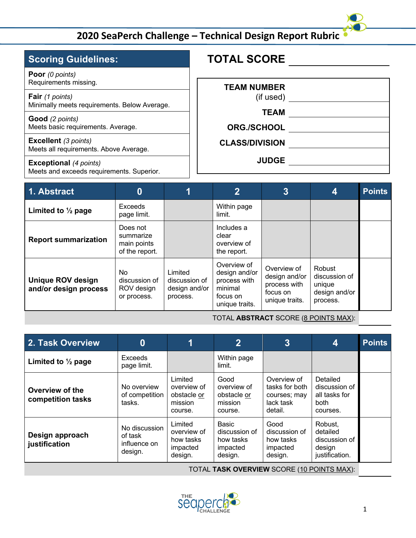#### **TOTAL SCORE TEAM NUMBER** (if used) **TEAM ORG./SCHOOL CLASS/DIVISION JUDGE Scoring Guidelines: Poor** *(0 points)* Requirements missing. **Fair** *(1 points)* Minimally meets requirements. Below Average. **Good** *(2 points)* Meets basic requirements. Average. **Excellent** *(3 points)* Meets all requirements. Above Average. **Exceptional** *(4 points)* Meets and exceeds requirements. Superior.

| 1. Abstract                                       |                                                        |                                                       | $\overline{2}$                                                                        | $\overline{3}$                                                             | 4                                                              | <b>Points</b> |
|---------------------------------------------------|--------------------------------------------------------|-------------------------------------------------------|---------------------------------------------------------------------------------------|----------------------------------------------------------------------------|----------------------------------------------------------------|---------------|
| Limited to $\frac{1}{2}$ page                     | <b>Exceeds</b><br>page limit.                          |                                                       | Within page<br>limit.                                                                 |                                                                            |                                                                |               |
| <b>Report summarization</b>                       | Does not<br>summarize<br>main points<br>of the report. |                                                       | Includes a<br>clear<br>overview of<br>the report.                                     |                                                                            |                                                                |               |
| <b>Unique ROV design</b><br>and/or design process | No.<br>discussion of<br>ROV design<br>or process.      | Limited<br>discussion of<br>design and/or<br>process. | Overview of<br>design and/or<br>process with<br>minimal<br>focus on<br>unique traits. | Overview of<br>design and/or<br>process with<br>focus on<br>unique traits. | Robust<br>discussion of<br>unique<br>design and/or<br>process. |               |

TOTAL **ABSTRACT** SCORE (8 POINTS MAX):

| 2. Task Overview                     | 0                                                   |                                                             | $\overline{2}$                                             | 3                                                                     | 4                                                                | <b>Points</b> |
|--------------------------------------|-----------------------------------------------------|-------------------------------------------------------------|------------------------------------------------------------|-----------------------------------------------------------------------|------------------------------------------------------------------|---------------|
| Limited to $\frac{1}{2}$ page        | Exceeds<br>page limit.                              |                                                             | Within page<br>limit.                                      |                                                                       |                                                                  |               |
| Overview of the<br>competition tasks | No overview<br>of competition<br>tasks.             | Limited<br>overview of<br>obstacle or<br>mission<br>course. | Good<br>overview of<br>obstacle or<br>mission<br>course.   | Overview of<br>tasks for both<br>courses; may<br>lack task<br>detail. | Detailed<br>discussion of<br>all tasks for<br>both<br>courses.   |               |
| Design approach<br>justification     | No discussion<br>of task<br>influence on<br>design. | Limited<br>overview of<br>how tasks<br>impacted<br>design.  | Basic<br>discussion of<br>how tasks<br>impacted<br>design. | Good<br>discussion of<br>how tasks<br>impacted<br>design.             | Robust.<br>detailed<br>discussion of<br>design<br>justification. |               |

TOTAL **TASK OVERVIEW** SCORE (10 POINTS MAX):

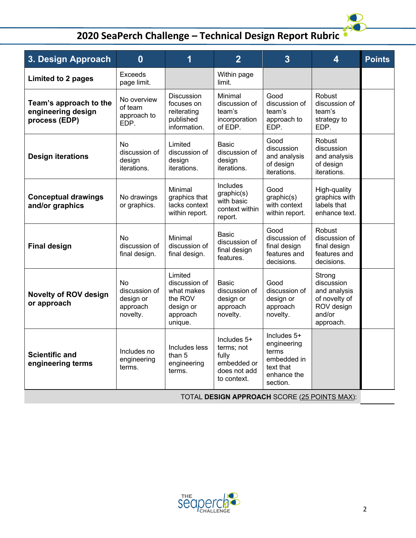| 3. Design Approach                                            | $\bf{0}$                                                 | 1                                                                                     | $\overline{2}$                                                                   | $\overline{3}$                                                                             | $\overline{\mathbf{4}}$                                                                    | <b>Points</b> |  |
|---------------------------------------------------------------|----------------------------------------------------------|---------------------------------------------------------------------------------------|----------------------------------------------------------------------------------|--------------------------------------------------------------------------------------------|--------------------------------------------------------------------------------------------|---------------|--|
| <b>Limited to 2 pages</b>                                     | <b>Exceeds</b><br>page limit.                            |                                                                                       | Within page<br>limit.                                                            |                                                                                            |                                                                                            |               |  |
| Team's approach to the<br>engineering design<br>process (EDP) | No overview<br>of team<br>approach to<br>EDP.            | <b>Discussion</b><br>focuses on<br>reiterating<br>published<br>information.           | Minimal<br>discussion of<br>team's<br>incorporation<br>of EDP.                   | Good<br>discussion of<br>team's<br>approach to<br>EDP.                                     | Robust<br>discussion of<br>team's<br>strategy to<br>EDP.                                   |               |  |
| <b>Design iterations</b>                                      | No<br>discussion of<br>design<br>iterations.             | Limited<br>discussion of<br>design<br>iterations.                                     | <b>Basic</b><br>discussion of<br>design<br>iterations.                           | Good<br>discussion<br>and analysis<br>of design<br>iterations.                             | Robust<br>discussion<br>and analysis<br>of design<br>iterations.                           |               |  |
| <b>Conceptual drawings</b><br>and/or graphics                 | No drawings<br>or graphics.                              | Minimal<br>graphics that<br>lacks context<br>within report.                           | Includes<br>graphic(s)<br>with basic<br>context within<br>report.                | Good<br>graphic(s)<br>with context<br>within report.                                       | High-quality<br>graphics with<br>labels that<br>enhance text.                              |               |  |
| <b>Final design</b>                                           | No<br>discussion of<br>final design.                     | Minimal<br>discussion of<br>final design.                                             | Basic<br>discussion of<br>final design<br>features.                              | Good<br>discussion of<br>final design<br>features and<br>decisions.                        | Robust<br>discussion of<br>final design<br>features and<br>decisions.                      |               |  |
| <b>Novelty of ROV design</b><br>or approach                   | No<br>discussion of<br>design or<br>approach<br>novelty. | Limited<br>discussion of<br>what makes<br>the ROV<br>design or<br>approach<br>unique. | <b>Basic</b><br>discussion of<br>design or<br>approach<br>novelty.               | Good<br>discussion of<br>design or<br>approach<br>novelty.                                 | Strong<br>discussion<br>and analysis<br>of novelty of<br>ROV design<br>and/or<br>approach. |               |  |
| <b>Scientific and</b><br>engineering terms                    | Includes no<br>engineering<br>terms.                     | Includes less<br>than 5<br>engineering<br>terms.                                      | Includes 5+<br>terms; not<br>fully<br>embedded or<br>does not add<br>to context. | Includes 5+<br>engineering<br>terms<br>embedded in<br>text that<br>enhance the<br>section. |                                                                                            |               |  |
| TOTAL DESIGN APPROACH SCORE (25 POINTS MAX):                  |                                                          |                                                                                       |                                                                                  |                                                                                            |                                                                                            |               |  |



 $\frac{1}{2}$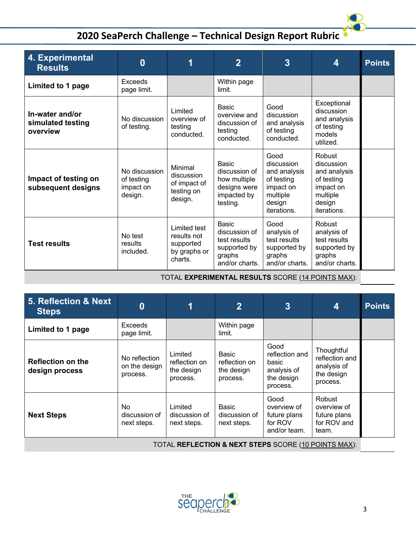| 4. Experimental<br><b>Results</b>                | $\bf{0}$                                            | 1                                                                   | $\overline{2}$                                                                            | $\overline{3}$                                                                                     | 4                                                                                                    | <b>Points</b> |
|--------------------------------------------------|-----------------------------------------------------|---------------------------------------------------------------------|-------------------------------------------------------------------------------------------|----------------------------------------------------------------------------------------------------|------------------------------------------------------------------------------------------------------|---------------|
| Limited to 1 page                                | Exceeds<br>page limit.                              |                                                                     | Within page<br>limit.                                                                     |                                                                                                    |                                                                                                      |               |
| In-water and/or<br>simulated testing<br>overview | No discussion<br>of testing.                        | Limited<br>overview of<br>testing<br>conducted.                     | Basic<br>overview and<br>discussion of<br>testing<br>conducted.                           | Good<br>discussion<br>and analysis<br>of testing<br>conducted.                                     | Exceptional<br>discussion<br>and analysis<br>of testing<br>models<br>utilized.                       |               |
| Impact of testing on<br>subsequent designs       | No discussion<br>of testing<br>impact on<br>design. | Minimal<br>discussion<br>of impact of<br>testing on<br>design.      | <b>Basic</b><br>discussion of<br>how multiple<br>designs were<br>impacted by<br>testing.  | Good<br>discussion<br>and analysis<br>of testing<br>impact on<br>multiple<br>design<br>iterations. | Robust<br>discussion<br>and analysis<br>of testing<br>impact on<br>multiple<br>design<br>iterations. |               |
| <b>Test results</b>                              | No test<br>results<br>included.                     | Limited test<br>results not<br>supported<br>by graphs or<br>charts. | <b>Basic</b><br>discussion of<br>test results<br>supported by<br>graphs<br>and/or charts. | Good<br>analysis of<br>test results<br>supported by<br>graphs<br>and/or charts.                    | Robust<br>analysis of<br>test results<br>supported by<br>graphs<br>and/or charts.                    |               |

TOTAL **EXPERIMENTAL RESULTS** SCORE (14 POINTS MAX):

| 5. Reflection & Next<br><b>Steps</b>       | $\bf{0}$                                   | 1                                                  | $\overline{2}$                                   | $\overline{3}$                                                           | 4                                                                     | <b>Points</b> |
|--------------------------------------------|--------------------------------------------|----------------------------------------------------|--------------------------------------------------|--------------------------------------------------------------------------|-----------------------------------------------------------------------|---------------|
| Limited to 1 page                          | <b>Exceeds</b><br>page limit.              |                                                    | Within page<br>limit.                            |                                                                          |                                                                       |               |
| <b>Reflection on the</b><br>design process | No reflection<br>on the design<br>process. | Limited<br>reflection on<br>the design<br>process. | Basic<br>reflection on<br>the design<br>process. | Good<br>reflection and<br>basic<br>analysis of<br>the design<br>process. | Thoughtful<br>reflection and<br>analysis of<br>the design<br>process. |               |
| <b>Next Steps</b>                          | No.<br>discussion of<br>next steps.        | Limited<br>discussion of<br>next steps.            | Basic<br>discussion of<br>next steps.            | Good<br>overview of<br>future plans<br>for ROV<br>and/or team.           | Robust<br>overview of<br>future plans<br>for ROV and<br>team.         |               |

TOTAL **REFLECTION & NEXT STEPS** SCORE (10 POINTS MAX):



D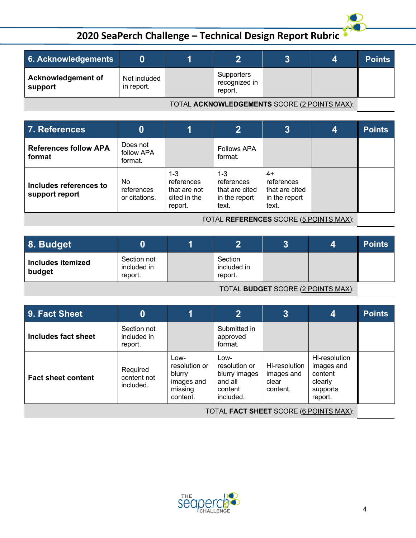| 6. Acknowledgements                  |                            |                                        |  | <b>Points</b> |
|--------------------------------------|----------------------------|----------------------------------------|--|---------------|
| <b>Acknowledgement of</b><br>support | Not included<br>in report. | Supporters<br>recognized in<br>report. |  |               |

TOTAL **ACKNOWLEDGEMENTS** SCORE (2 POINTS MAX):

| 7. References                            |                                   |                                                                  | $\overline{2}$                                                    | $\overline{3}$                                               | 4 | <b>Points</b> |
|------------------------------------------|-----------------------------------|------------------------------------------------------------------|-------------------------------------------------------------------|--------------------------------------------------------------|---|---------------|
| <b>References follow APA</b><br>format   | Does not<br>follow APA<br>format. |                                                                  | <b>Follows APA</b><br>format.                                     |                                                              |   |               |
| Includes references to<br>support report | No<br>references<br>or citations. | $1 - 3$<br>references<br>that are not<br>cited in the<br>report. | $1 - 3$<br>references<br>that are cited<br>in the report<br>text. | 4+<br>references<br>that are cited<br>in the report<br>text. |   |               |

TOTAL **REFERENCES** SCORE (5 POINTS MAX):

| 8. Budget                   |                                       |                                   | 2 | 4 | <b>Points</b> |
|-----------------------------|---------------------------------------|-----------------------------------|---|---|---------------|
| Includes itemized<br>budget | Section not<br>included in<br>report. | Section<br>included in<br>report. |   |   |               |

TOTAL **BUDGET** SCORE (2 POINTS MAX):

| 9. Fact Sheet             | 0                                     |                                                                      | $\overline{2}$                                                            | 3                                                | 4                                                                        | <b>Points</b> |
|---------------------------|---------------------------------------|----------------------------------------------------------------------|---------------------------------------------------------------------------|--------------------------------------------------|--------------------------------------------------------------------------|---------------|
| Includes fact sheet       | Section not<br>included in<br>report. |                                                                      | Submitted in<br>approved<br>format.                                       |                                                  |                                                                          |               |
| <b>Fact sheet content</b> | Required<br>content not<br>included.  | Low-<br>resolution or<br>blurry<br>images and<br>missing<br>content. | Low-<br>resolution or<br>blurry images<br>and all<br>content<br>included. | Hi-resolution<br>images and<br>clear<br>content. | Hi-resolution<br>images and<br>content<br>clearly<br>supports<br>report. |               |

TOTAL **FACT SHEET** SCORE (6 POINTS MAX):



D